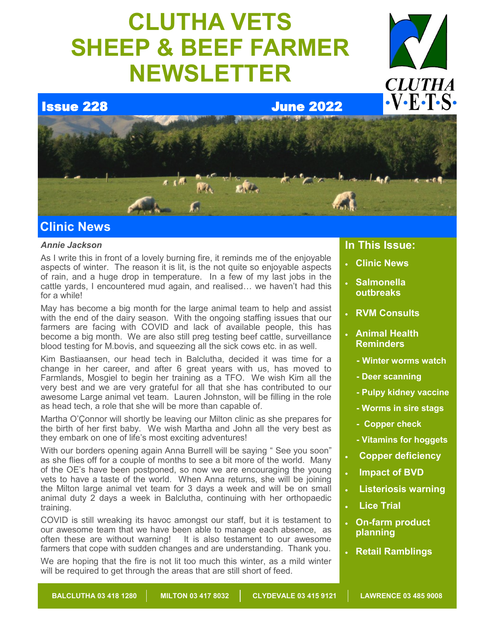# **CLUTHA VETS SHEEP & BEEF FARMER NEWSLETTER**



Issue 228 June 2022



# **Clinic News**

### *Annie Jackson*

As I write this in front of a lovely burning fire, it reminds me of the enjoyable aspects of winter. The reason it is lit, is the not quite so enjoyable aspects of rain, and a huge drop in temperature. In a few of my last jobs in the cattle yards, I encountered mud again, and realised… we haven't had this for a while!

May has become a big month for the large animal team to help and assist with the end of the dairy season. With the ongoing staffing issues that our farmers are facing with COVID and lack of available people, this has become a big month. We are also still preg testing beef cattle, surveillance blood testing for M.bovis, and squeezing all the sick cows etc. in as well.

Kim Bastiaansen, our head tech in Balclutha, decided it was time for a change in her career, and after 6 great years with us, has moved to Farmlands, Mosgiel to begin her training as a TFO. We wish Kim all the very best and we are very grateful for all that she has contributed to our awesome Large animal vet team. Lauren Johnston, will be filling in the role as head tech, a role that she will be more than capable of.

Martha O'Çonnor will shortly be leaving our Milton clinic as she prepares for the birth of her first baby. We wish Martha and John all the very best as they embark on one of life's most exciting adventures!

With our borders opening again Anna Burrell will be saying " See you soon" as she flies off for a couple of months to see a bit more of the world. Many of the OE's have been postponed, so now we are encouraging the young vets to have a taste of the world. When Anna returns, she will be joining the Milton large animal vet team for 3 days a week and will be on small animal duty 2 days a week in Balclutha, continuing with her orthopaedic training.

COVID is still wreaking its havoc amongst our staff, but it is testament to our awesome team that we have been able to manage each absence, as often these are without warning! It is also testament to our awesome farmers that cope with sudden changes and are understanding. Thank you.

We are hoping that the fire is not lit too much this winter, as a mild winter will be required to get through the areas that are still short of feed.

### **In This Issue:**

- **Clinic News**
- **Salmonella outbreaks**
- **RVM Consults**
- **Animal Health Reminders**
	- **- Winter worms watch**
	- **- Deer scanning**
	- **- Pulpy kidney vaccine**
	- **- Worms in sire stags**
	- **- Copper check**
	- **- Vitamins for hoggets**
- **Copper deficiency**
- **Impact of BVD**
- **Listeriosis warning**
- **Lice Trial**
- **On-farm product planning**
- **Retail Ramblings**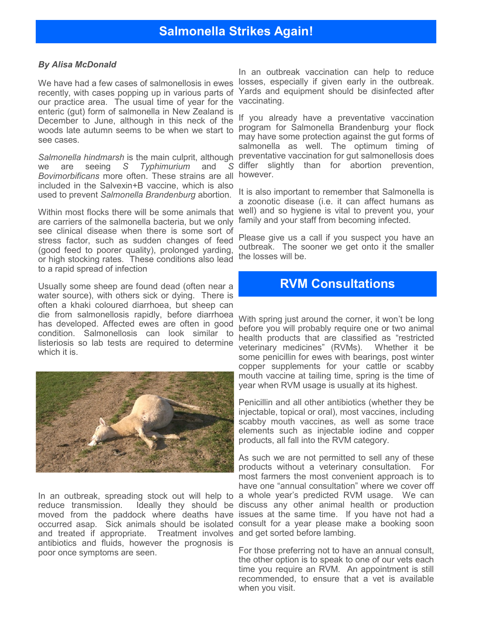#### *By Alisa McDonald*

We have had a few cases of salmonellosis in ewes recently, with cases popping up in various parts of our practice area. The usual time of year for the enteric (gut) form of salmonella in New Zealand is December to June, although in this neck of the woods late autumn seems to be when we start to program for Salmonella Brandenburg your flock see cases.

we are seeing *S Typhimurium* and *S Bovimorbificans* more often. These strains are all included in the Salvexin+B vaccine, which is also used to prevent *Salmonella Brandenburg* abortion.

Within most flocks there will be some animals that are carriers of the salmonella bacteria, but we only see clinical disease when there is some sort of stress factor, such as sudden changes of feed (good feed to poorer quality), prolonged yarding, or high stocking rates. These conditions also lead to a rapid spread of infection

Usually some sheep are found dead (often near a water source), with others sick or dying. There is often a khaki coloured diarrhoea, but sheep can die from salmonellosis rapidly, before diarrhoea has developed. Affected ewes are often in good condition. Salmonellosis can look similar to listeriosis so lab tests are required to determine which it is.



In an outbreak, spreading stock out will help to reduce transmission. Ideally they should be moved from the paddock where deaths have occurred asap. Sick animals should be isolated and treated if appropriate. Treatment involves and get sorted before lambing. antibiotics and fluids, however the prognosis is poor once symptoms are seen.

In an outbreak vaccination can help to reduce losses, especially if given early in the outbreak. Yards and equipment should be disinfected after vaccinating.

Salmonella hindmarsh is the main culprit, although preventative vaccination for gut salmonellosis does If you already have a preventative vaccination may have some protection against the gut forms of salmonella as well. The optimum timing of differ slightly than for abortion prevention, however.

> It is also important to remember that Salmonella is a zoonotic disease (i.e. it can affect humans as well) and so hygiene is vital to prevent you, your family and your staff from becoming infected.

> Please give us a call if you suspect you have an outbreak. The sooner we get onto it the smaller the losses will be.

# **RVM Consultations**

With spring just around the corner, it won't be long before you will probably require one or two animal health products that are classified as "restricted veterinary medicines" (RVMs). Whether it be some penicillin for ewes with bearings, post winter copper supplements for your cattle or scabby mouth vaccine at tailing time, spring is the time of year when RVM usage is usually at its highest.

Penicillin and all other antibiotics (whether they be injectable, topical or oral), most vaccines, including scabby mouth vaccines, as well as some trace elements such as injectable iodine and copper products, all fall into the RVM category.

As such we are not permitted to sell any of these products without a veterinary consultation. For most farmers the most convenient approach is to have one "annual consultation" where we cover off a whole year's predicted RVM usage. We can discuss any other animal health or production issues at the same time. If you have not had a consult for a year please make a booking soon

For those preferring not to have an annual consult, the other option is to speak to one of our vets each time you require an RVM. An appointment is still recommended, to ensure that a vet is available when you visit.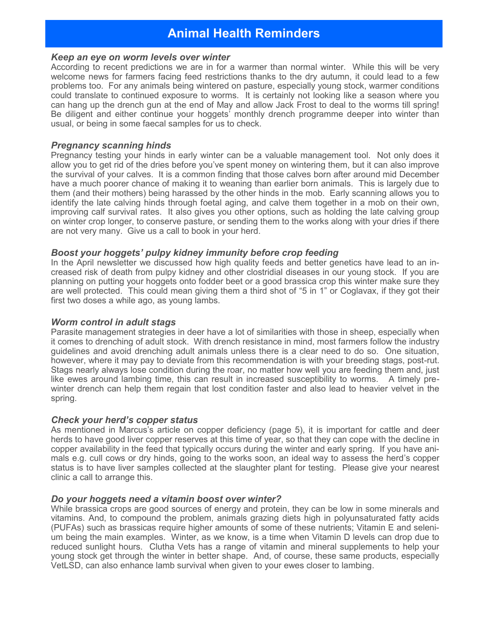# **Animal Health Reminders**

#### *Keep an eye on worm levels over winter*

According to recent predictions we are in for a warmer than normal winter. While this will be very welcome news for farmers facing feed restrictions thanks to the dry autumn, it could lead to a few problems too. For any animals being wintered on pasture, especially young stock, warmer conditions could translate to continued exposure to worms. It is certainly not looking like a season where you can hang up the drench gun at the end of May and allow Jack Frost to deal to the worms till spring! Be diligent and either continue your hoggets' monthly drench programme deeper into winter than usual, or being in some faecal samples for us to check.

#### *Pregnancy scanning hinds*

Pregnancy testing your hinds in early winter can be a valuable management tool. Not only does it allow you to get rid of the dries before you've spent money on wintering them, but it can also improve the survival of your calves. It is a common finding that those calves born after around mid December have a much poorer chance of making it to weaning than earlier born animals. This is largely due to them (and their mothers) being harassed by the other hinds in the mob. Early scanning allows you to identify the late calving hinds through foetal aging, and calve them together in a mob on their own, improving calf survival rates. It also gives you other options, such as holding the late calving group on winter crop longer, to conserve pasture, or sending them to the works along with your dries if there are not very many. Give us a call to book in your herd.

#### *Boost your hoggets' pulpy kidney immunity before crop feeding*

In the April newsletter we discussed how high quality feeds and better genetics have lead to an increased risk of death from pulpy kidney and other clostridial diseases in our young stock. If you are planning on putting your hoggets onto fodder beet or a good brassica crop this winter make sure they are well protected. This could mean giving them a third shot of "5 in 1" or Coglavax, if they got their first two doses a while ago, as young lambs.

#### *Worm control in adult stags*

Parasite management strategies in deer have a lot of similarities with those in sheep, especially when it comes to drenching of adult stock. With drench resistance in mind, most farmers follow the industry guidelines and avoid drenching adult animals unless there is a clear need to do so. One situation, however, where it may pay to deviate from this recommendation is with your breeding stags, post-rut. Stags nearly always lose condition during the roar, no matter how well you are feeding them and, just like ewes around lambing time, this can result in increased susceptibility to worms. A timely prewinter drench can help them regain that lost condition faster and also lead to heavier velvet in the spring.

#### *Check your herd's copper status*

As mentioned in Marcus's article on copper deficiency (page 5), it is important for cattle and deer herds to have good liver copper reserves at this time of year, so that they can cope with the decline in copper availability in the feed that typically occurs during the winter and early spring. If you have animals e.g. cull cows or dry hinds, going to the works soon, an ideal way to assess the herd's copper status is to have liver samples collected at the slaughter plant for testing. Please give your nearest clinic a call to arrange this.

#### *Do your hoggets need a vitamin boost over winter?*

While brassica crops are good sources of energy and protein, they can be low in some minerals and vitamins. And, to compound the problem, animals grazing diets high in polyunsaturated fatty acids (PUFAs) such as brassicas require higher amounts of some of these nutrients; Vitamin E and selenium being the main examples. Winter, as we know, is a time when Vitamin D levels can drop due to reduced sunlight hours. Clutha Vets has a range of vitamin and mineral supplements to help your young stock get through the winter in better shape. And, of course, these same products, especially VetLSD, can also enhance lamb survival when given to your ewes closer to lambing.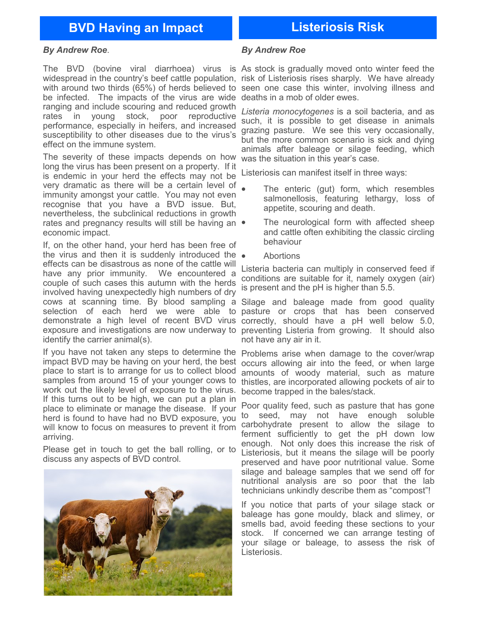# **BVD Having an Impact Listeriosis Risk**

#### *By Andrew Roe*.

The BVD (bovine viral diarrhoea) virus is As stock is gradually moved onto winter feed the be infected. The impacts of the virus are wide deaths in a mob of older ewes. ranging and include scouring and reduced growth rates in young stock, poor reproductive performance, especially in heifers, and increased susceptibility to other diseases due to the virus's effect on the immune system.

The severity of these impacts depends on how long the virus has been present on a property. If it is endemic in your herd the effects may not be very dramatic as there will be a certain level of immunity amongst your cattle. You may not even recognise that you have a BVD issue. But, nevertheless, the subclinical reductions in growth rates and pregnancy results will still be having an  $\bullet$ economic impact.

If, on the other hand, your herd has been free of the virus and then it is suddenly introduced the  $\bullet$ effects can be disastrous as none of the cattle will have any prior immunity. We encountered a couple of such cases this autumn with the herds involved having unexpectedly high numbers of dry cows at scanning time. By blood sampling a Silage and baleage made from good quality selection of each herd we were able to pasture or crops that has been conserved demonstrate a high level of recent BVD virus correctly, should have a pH well below 5.0, exposure and investigations are now underway to preventing Listeria from growing. It should also identify the carrier animal(s).

If you have not taken any steps to determine the Problems arise when damage to the cover/wrap impact BVD may be having on your herd, the best occurs allowing air into the feed, or when large place to start is to arrange for us to collect blood samples from around 15 of your younger cows to thistles, are incorporated allowing pockets of air to work out the likely level of exposure to the virus. If this turns out to be high, we can put a plan in place to eliminate or manage the disease. If your herd is found to have had no BVD exposure, you will know to focus on measures to prevent it from arriving.

Please get in touch to get the ball rolling, or to discuss any aspects of BVD control.



#### *By Andrew Roe*

widespread in the country's beef cattle population, risk of Listeriosis rises sharply. We have already with around two thirds (65%) of herds believed to seen one case this winter, involving illness and

> *Listeria monocytogenes* is a soil bacteria, and as such, it is possible to get disease in animals grazing pasture. We see this very occasionally, but the more common scenario is sick and dying animals after baleage or silage feeding, which was the situation in this year's case.

Listeriosis can manifest itself in three ways:

- The enteric (gut) form, which resembles salmonellosis, featuring lethargy, loss of appetite, scouring and death.
- The neurological form with affected sheep and cattle often exhibiting the classic circling behaviour
- **Abortions**

Listeria bacteria can multiply in conserved feed if conditions are suitable for it, namely oxygen (air) is present and the pH is higher than 5.5.

not have any air in it.

amounts of woody material, such as mature become trapped in the bales/stack.

Poor quality feed, such as pasture that has gone to seed, may not have enough soluble carbohydrate present to allow the silage to ferment sufficiently to get the pH down low enough. Not only does this increase the risk of Listeriosis, but it means the silage will be poorly preserved and have poor nutritional value. Some silage and baleage samples that we send off for nutritional analysis are so poor that the lab technicians unkindly describe them as "compost"!

If you notice that parts of your silage stack or baleage has gone mouldy, black and slimey, or smells bad, avoid feeding these sections to your stock. If concerned we can arrange testing of your silage or baleage, to assess the risk of Listeriosis.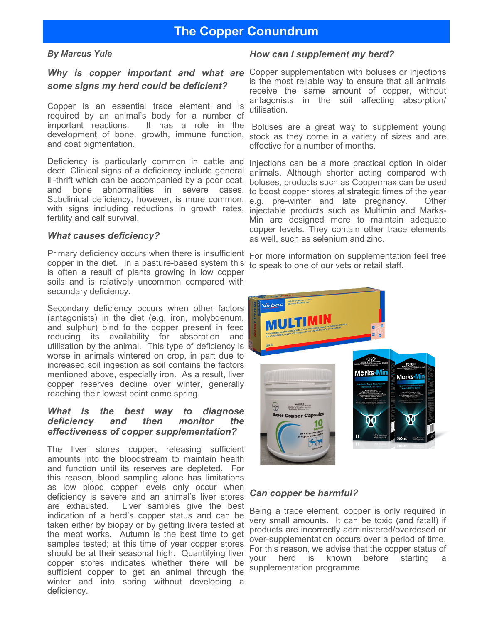# **The Copper Conundrum**

#### *By Marcus Yule*

# *some signs my herd could be deficient?*

Copper is an essential trace element and is required by an animal's body for a number of important reactions. It has a role in the development of bone, growth, immune function, stock as they come in a variety of sizes and are and coat pigmentation.

Deficiency is particularly common in cattle and deer. Clinical signs of a deficiency include general ill-thrift which can be accompanied by a poor coat, and bone abnormalities in severe cases. Subclinical deficiency, however, is more common, with signs including reductions in growth rates, fertility and calf survival.

#### *What causes deficiency?*

Primary deficiency occurs when there is insufficient For more information on supplementation feel free copper in the diet. In a pasture-based system this to speak to one of our vets or retail staff. is often a result of plants growing in low copper soils and is relatively uncommon compared with secondary deficiency.

Secondary deficiency occurs when other factors (antagonists) in the diet (e.g. iron, molybdenum, and sulphur) bind to the copper present in feed reducing its availability for absorption and utilisation by the animal. This type of deficiency is worse in animals wintered on crop, in part due to increased soil ingestion as soil contains the factors mentioned above, especially iron. As a result, liver copper reserves decline over winter, generally reaching their lowest point come spring.

#### *What is the best way to diagnose deficiency and then monitor the effectiveness of copper supplementation?*

The liver stores copper, releasing sufficient amounts into the bloodstream to maintain health and function until its reserves are depleted. For this reason, blood sampling alone has limitations as low blood copper levels only occur when deficiency is severe and an animal's liver stores are exhausted. Liver samples give the best indication of a herd's copper status and can be taken either by biopsy or by getting livers tested at the meat works. Autumn is the best time to get samples tested; at this time of year copper stores should be at their seasonal high. Quantifying liver copper stores indicates whether there will be sufficient copper to get an animal through the winter and into spring without developing a deficiency.

#### *How can I supplement my herd?*

Why is copper important and what are Copper supplementation with boluses or injections is the most reliable way to ensure that all animals receive the same amount of copper, without antagonists in the soil affecting absorption/ utilisation.

> Boluses are a great way to supplement young effective for a number of months.

> Injections can be a more practical option in older animals. Although shorter acting compared with boluses, products such as Coppermax can be used to boost copper stores at strategic times of the year e.g. pre-winter and late pregnancy. Other injectable products such as Multimin and Marks-Min are designed more to maintain adequate copper levels. They contain other trace elements as well, such as selenium and zinc.



### *Can copper be harmful?*

Being a trace element, copper is only required in very small amounts. It can be toxic (and fatal!) if products are incorrectly administered/overdosed or over-supplementation occurs over a period of time. For this reason, we advise that the copper status of your herd is known before starting a supplementation programme.